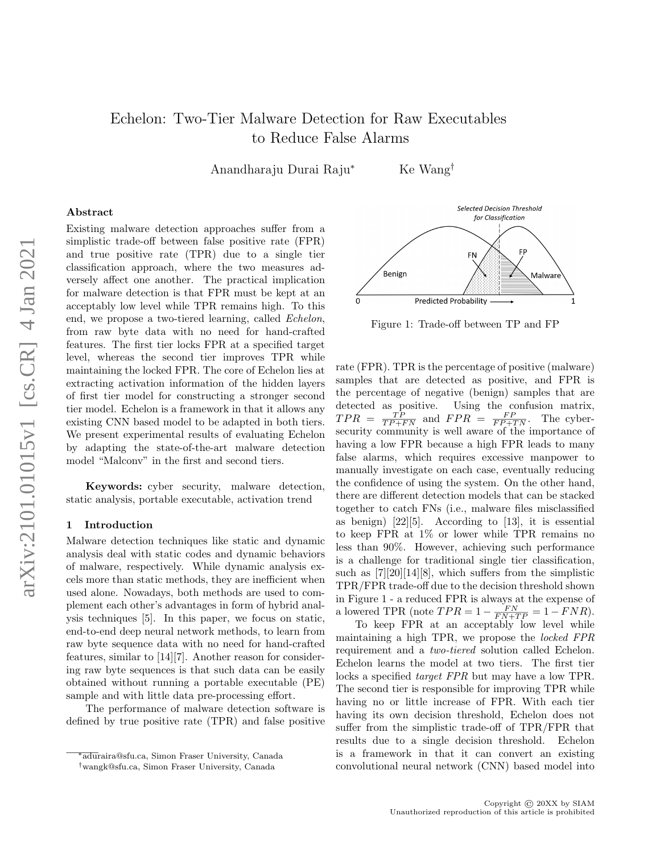# Echelon: Two-Tier Malware Detection for Raw Executables to Reduce False Alarms

Anandharaju Durai Raju<sup>∗</sup> Ke Wang†

# Abstract

Existing malware detection approaches suffer from a simplistic trade-off between false positive rate (FPR) and true positive rate (TPR) due to a single tier classification approach, where the two measures adversely affect one another. The practical implication for malware detection is that FPR must be kept at an acceptably low level while TPR remains high. To this end, we propose a two-tiered learning, called Echelon, from raw byte data with no need for hand-crafted features. The first tier locks FPR at a specified target level, whereas the second tier improves TPR while maintaining the locked FPR. The core of Echelon lies at extracting activation information of the hidden layers of first tier model for constructing a stronger second tier model. Echelon is a framework in that it allows any existing CNN based model to be adapted in both tiers. We present experimental results of evaluating Echelon by adapting the state-of-the-art malware detection model "Malconv" in the first and second tiers.

Keywords: cyber security, malware detection, static analysis, portable executable, activation trend

#### 1 Introduction

Malware detection techniques like static and dynamic analysis deal with static codes and dynamic behaviors of malware, respectively. While dynamic analysis excels more than static methods, they are inefficient when used alone. Nowadays, both methods are used to complement each other's advantages in form of hybrid analysis techniques [5]. In this paper, we focus on static, end-to-end deep neural network methods, to learn from raw byte sequence data with no need for hand-crafted features, similar to [14][7]. Another reason for considering raw byte sequences is that such data can be easily obtained without running a portable executable (PE) sample and with little data pre-processing effort.

The performance of malware detection software is defined by true positive rate (TPR) and false positive



Figure 1: Trade-off between TP and FP

rate (FPR). TPR is the percentage of positive (malware) samples that are detected as positive, and FPR is the percentage of negative (benign) samples that are detected as positive. Using the confusion matrix,  $TPR = \frac{TP}{TP+FN}$  and  $FPR = \frac{FP}{FP+TN}$ . The cybersecurity community is well aware of the importance of having a low FPR because a high FPR leads to many false alarms, which requires excessive manpower to manually investigate on each case, eventually reducing the confidence of using the system. On the other hand, there are different detection models that can be stacked together to catch FNs (i.e., malware files misclassified as benign) [22][5]. According to [13], it is essential to keep FPR at 1% or lower while TPR remains no less than 90%. However, achieving such performance is a challenge for traditional single tier classification, such as [7][20][14][8], which suffers from the simplistic TPR/FPR trade-off due to the decision threshold shown in Figure 1 - a reduced FPR is always at the expense of a lowered TPR (note  $TPR = 1 - \frac{FN}{FN + TP} = 1 - FNR$ ).

To keep FPR at an acceptably low level while maintaining a high TPR, we propose the locked FPR requirement and a two-tiered solution called Echelon. Echelon learns the model at two tiers. The first tier locks a specified target FPR but may have a low TPR. The second tier is responsible for improving TPR while having no or little increase of FPR. With each tier having its own decision threshold, Echelon does not suffer from the simplistic trade-off of TPR/FPR that results due to a single decision threshold. Echelon is a framework in that it can convert an existing convolutional neural network (CNN) based model into

<sup>∗</sup>aduraira@sfu.ca, Simon Fraser University, Canada

<sup>†</sup>wangk@sfu.ca, Simon Fraser University, Canada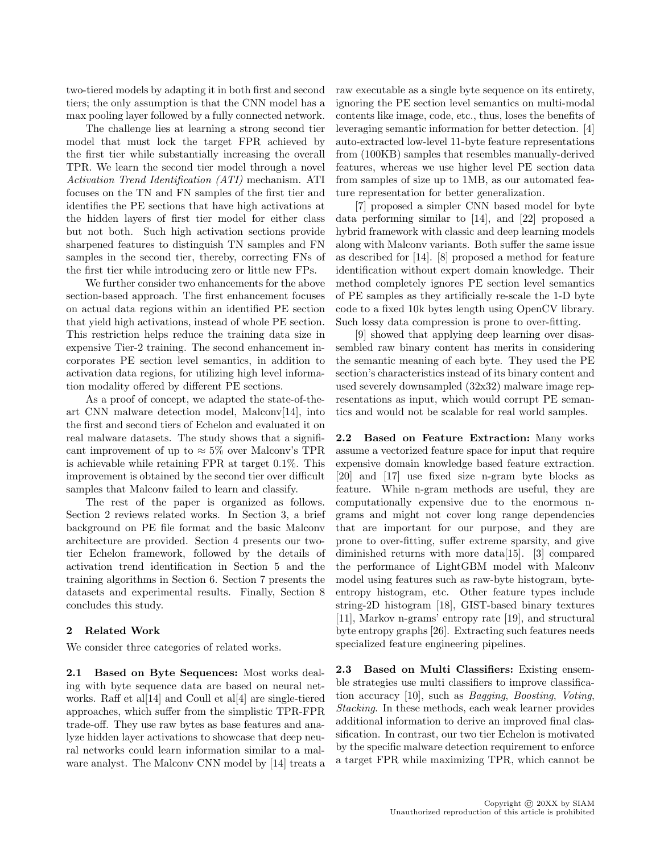two-tiered models by adapting it in both first and second tiers; the only assumption is that the CNN model has a max pooling layer followed by a fully connected network.

The challenge lies at learning a strong second tier model that must lock the target FPR achieved by the first tier while substantially increasing the overall TPR. We learn the second tier model through a novel Activation Trend Identification (ATI) mechanism. ATI focuses on the TN and FN samples of the first tier and identifies the PE sections that have high activations at the hidden layers of first tier model for either class but not both. Such high activation sections provide sharpened features to distinguish TN samples and FN samples in the second tier, thereby, correcting FNs of the first tier while introducing zero or little new FPs.

We further consider two enhancements for the above section-based approach. The first enhancement focuses on actual data regions within an identified PE section that yield high activations, instead of whole PE section. This restriction helps reduce the training data size in expensive Tier-2 training. The second enhancement incorporates PE section level semantics, in addition to activation data regions, for utilizing high level information modality offered by different PE sections.

As a proof of concept, we adapted the state-of-theart CNN malware detection model, Malconv[14], into the first and second tiers of Echelon and evaluated it on real malware datasets. The study shows that a significant improvement of up to  $\approx 5\%$  over Malconv's TPR is achievable while retaining FPR at target 0.1%. This improvement is obtained by the second tier over difficult samples that Malconv failed to learn and classify.

The rest of the paper is organized as follows. Section 2 reviews related works. In Section 3, a brief background on PE file format and the basic Malconv architecture are provided. Section 4 presents our twotier Echelon framework, followed by the details of activation trend identification in Section 5 and the training algorithms in Section 6. Section 7 presents the datasets and experimental results. Finally, Section 8 concludes this study.

# 2 Related Work

We consider three categories of related works.

2.1 Based on Byte Sequences: Most works dealing with byte sequence data are based on neural networks. Raff et al<sup>[14]</sup> and Coull et al<sup>[4]</sup> are single-tiered approaches, which suffer from the simplistic TPR-FPR trade-off. They use raw bytes as base features and analyze hidden layer activations to showcase that deep neural networks could learn information similar to a malware analyst. The Malconv CNN model by [14] treats a raw executable as a single byte sequence on its entirety, ignoring the PE section level semantics on multi-modal contents like image, code, etc., thus, loses the benefits of leveraging semantic information for better detection. [4] auto-extracted low-level 11-byte feature representations from (100KB) samples that resembles manually-derived features, whereas we use higher level PE section data from samples of size up to 1MB, as our automated feature representation for better generalization.

[7] proposed a simpler CNN based model for byte data performing similar to [14], and [22] proposed a hybrid framework with classic and deep learning models along with Malconv variants. Both suffer the same issue as described for [14]. [8] proposed a method for feature identification without expert domain knowledge. Their method completely ignores PE section level semantics of PE samples as they artificially re-scale the 1-D byte code to a fixed 10k bytes length using OpenCV library. Such lossy data compression is prone to over-fitting.

[9] showed that applying deep learning over disassembled raw binary content has merits in considering the semantic meaning of each byte. They used the PE section's characteristics instead of its binary content and used severely downsampled (32x32) malware image representations as input, which would corrupt PE semantics and would not be scalable for real world samples.

2.2 Based on Feature Extraction: Many works assume a vectorized feature space for input that require expensive domain knowledge based feature extraction. [20] and [17] use fixed size n-gram byte blocks as feature. While n-gram methods are useful, they are computationally expensive due to the enormous ngrams and might not cover long range dependencies that are important for our purpose, and they are prone to over-fitting, suffer extreme sparsity, and give diminished returns with more data[15]. [3] compared the performance of LightGBM model with Malconv model using features such as raw-byte histogram, byteentropy histogram, etc. Other feature types include string-2D histogram [18], GIST-based binary textures [11], Markov n-grams' entropy rate [19], and structural byte entropy graphs [26]. Extracting such features needs specialized feature engineering pipelines.

2.3 Based on Multi Classifiers: Existing ensemble strategies use multi classifiers to improve classification accuracy [10], such as Bagging, Boosting, Voting, Stacking. In these methods, each weak learner provides additional information to derive an improved final classification. In contrast, our two tier Echelon is motivated by the specific malware detection requirement to enforce a target FPR while maximizing TPR, which cannot be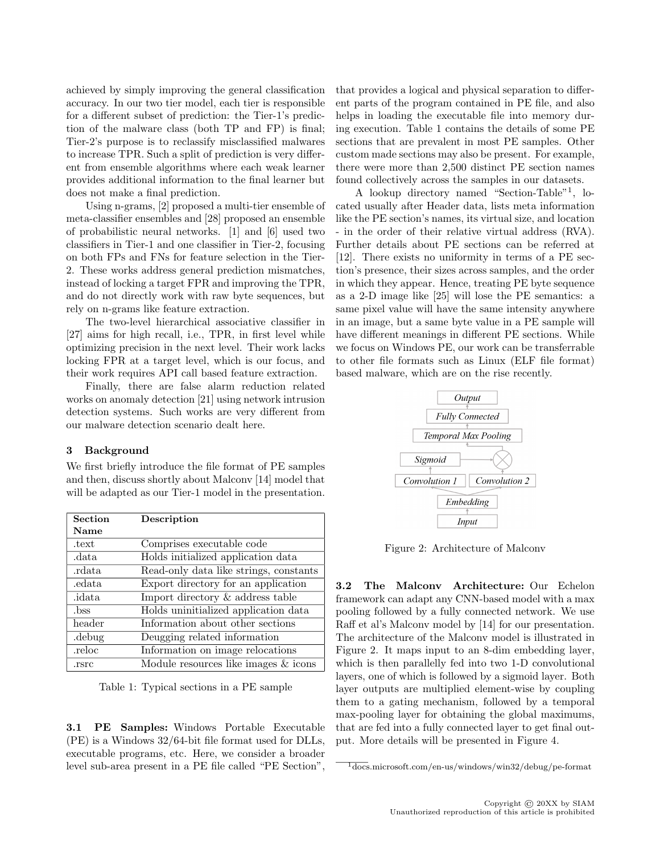achieved by simply improving the general classification accuracy. In our two tier model, each tier is responsible for a different subset of prediction: the Tier-1's prediction of the malware class (both TP and FP) is final; Tier-2's purpose is to reclassify misclassified malwares to increase TPR. Such a split of prediction is very different from ensemble algorithms where each weak learner provides additional information to the final learner but does not make a final prediction.

Using n-grams, [2] proposed a multi-tier ensemble of meta-classifier ensembles and [28] proposed an ensemble of probabilistic neural networks. [1] and [6] used two classifiers in Tier-1 and one classifier in Tier-2, focusing on both FPs and FNs for feature selection in the Tier-2. These works address general prediction mismatches, instead of locking a target FPR and improving the TPR, and do not directly work with raw byte sequences, but rely on n-grams like feature extraction.

The two-level hierarchical associative classifier in [27] aims for high recall, i.e., TPR, in first level while optimizing precision in the next level. Their work lacks locking FPR at a target level, which is our focus, and their work requires API call based feature extraction.

Finally, there are false alarm reduction related works on anomaly detection [21] using network intrusion detection systems. Such works are very different from our malware detection scenario dealt here.

# 3 Background

We first briefly introduce the file format of PE samples and then, discuss shortly about Malconv [14] model that will be adapted as our Tier-1 model in the presentation.

| <b>Section</b> | Description                            |
|----------------|----------------------------------------|
| Name           |                                        |
| .text          | Comprises executable code              |
| .data          | Holds initialized application data     |
| rdata.         | Read-only data like strings, constants |
| edata.         | Export directory for an application    |
| .idata         | Import directory & address table       |
| .bss           | Holds uninitialized application data   |
| header         | Information about other sections       |
| .debug         | Deugging related information           |
| .reloc         | Information on image relocations       |
| .rsrc          | Module resources like images $&$ icons |

Table 1: Typical sections in a PE sample

3.1 PE Samples: Windows Portable Executable (PE) is a Windows 32/64-bit file format used for DLLs, executable programs, etc. Here, we consider a broader level sub-area present in a PE file called "PE Section",

that provides a logical and physical separation to different parts of the program contained in PE file, and also helps in loading the executable file into memory during execution. Table 1 contains the details of some PE sections that are prevalent in most PE samples. Other custom made sections may also be present. For example, there were more than 2,500 distinct PE section names found collectively across the samples in our datasets.

A lookup directory named "Section-Table"<sup>1</sup> , located usually after Header data, lists meta information like the PE section's names, its virtual size, and location - in the order of their relative virtual address (RVA). Further details about PE sections can be referred at [12]. There exists no uniformity in terms of a PE section's presence, their sizes across samples, and the order in which they appear. Hence, treating PE byte sequence as a 2-D image like [25] will lose the PE semantics: a same pixel value will have the same intensity anywhere in an image, but a same byte value in a PE sample will have different meanings in different PE sections. While we focus on Windows PE, our work can be transferrable to other file formats such as Linux (ELF file format) based malware, which are on the rise recently.



Figure 2: Architecture of Malconv

3.2 The Malconv Architecture: Our Echelon framework can adapt any CNN-based model with a max pooling followed by a fully connected network. We use Raff et al's Malconv model by [14] for our presentation. The architecture of the Malconv model is illustrated in Figure 2. It maps input to an 8-dim embedding layer, which is then parallelly fed into two 1-D convolutional layers, one of which is followed by a sigmoid layer. Both layer outputs are multiplied element-wise by coupling them to a gating mechanism, followed by a temporal max-pooling layer for obtaining the global maximums, that are fed into a fully connected layer to get final output. More details will be presented in Figure 4.

 $\frac{1}{1}$ docs.microsoft.com/en-us/windows/win32/debug/pe-format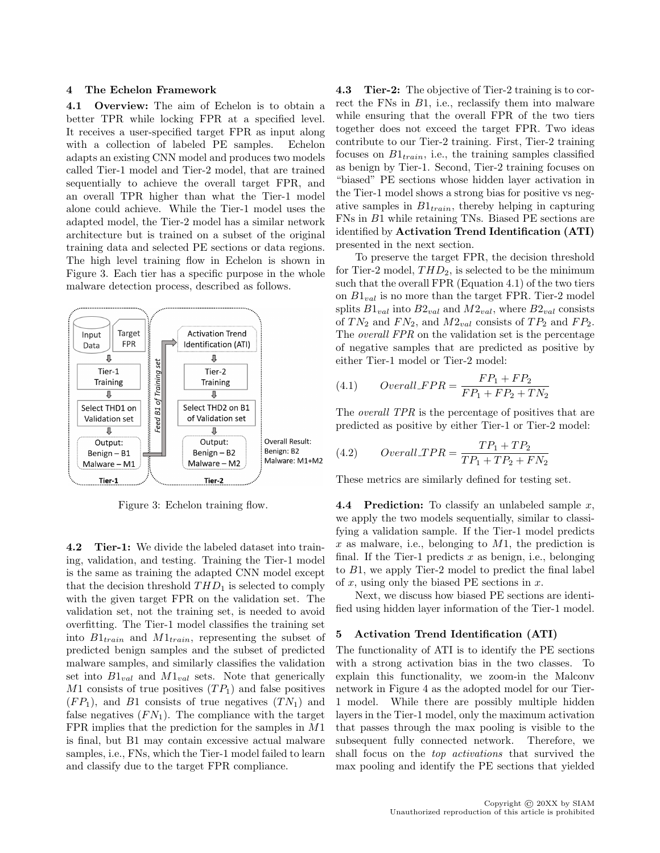#### 4 The Echelon Framework

4.1 Overview: The aim of Echelon is to obtain a better TPR while locking FPR at a specified level. It receives a user-specified target FPR as input along with a collection of labeled PE samples. Echelon adapts an existing CNN model and produces two models called Tier-1 model and Tier-2 model, that are trained sequentially to achieve the overall target FPR, and an overall TPR higher than what the Tier-1 model alone could achieve. While the Tier-1 model uses the adapted model, the Tier-2 model has a similar network architecture but is trained on a subset of the original training data and selected PE sections or data regions. The high level training flow in Echelon is shown in Figure 3. Each tier has a specific purpose in the whole malware detection process, described as follows.



Figure 3: Echelon training flow.

4.2 Tier-1: We divide the labeled dataset into training, validation, and testing. Training the Tier-1 model is the same as training the adapted CNN model except that the decision threshold  $THD_1$  is selected to comply with the given target FPR on the validation set. The validation set, not the training set, is needed to avoid overfitting. The Tier-1 model classifies the training set into  $B1_{train}$  and  $M1_{train}$ , representing the subset of predicted benign samples and the subset of predicted malware samples, and similarly classifies the validation set into  $B1_{val}$  and  $M1_{val}$  sets. Note that generically  $M1$  consists of true positives  $(T P_1)$  and false positives  $(FP_1)$ , and B1 consists of true negatives  $(TN_1)$  and false negatives  $(FN_1)$ . The compliance with the target FPR implies that the prediction for the samples in M1 is final, but B1 may contain excessive actual malware samples, i.e., FNs, which the Tier-1 model failed to learn and classify due to the target FPR compliance.

4.3 Tier-2: The objective of Tier-2 training is to correct the FNs in B1, i.e., reclassify them into malware while ensuring that the overall FPR of the two tiers together does not exceed the target FPR. Two ideas contribute to our Tier-2 training. First, Tier-2 training focuses on  $B1_{train}$ , i.e., the training samples classified as benign by Tier-1. Second, Tier-2 training focuses on "biased" PE sections whose hidden layer activation in the Tier-1 model shows a strong bias for positive vs negative samples in  $B1_{train}$ , thereby helping in capturing FNs in B1 while retaining TNs. Biased PE sections are identified by Activation Trend Identification (ATI) presented in the next section.

To preserve the target FPR, the decision threshold for Tier-2 model,  $THD_2$ , is selected to be the minimum such that the overall FPR (Equation 4.1) of the two tiers on  $B1_{val}$  is no more than the target FPR. Tier-2 model splits  $B1_{val}$  into  $B2_{val}$  and  $M2_{val}$ , where  $B2_{val}$  consists of  $TN_2$  and  $FN_2$ , and  $M2_{val}$  consists of  $TP_2$  and  $FP_2$ . The *overall FPR* on the validation set is the percentage of negative samples that are predicted as positive by either Tier-1 model or Tier-2 model:

(4.1) 
$$
Overall\_FPR = \frac{FP_1 + FP_2}{FP_1 + FP_2 + TN_2}
$$

The *overall TPR* is the percentage of positives that are predicted as positive by either Tier-1 or Tier-2 model:

(4.2) 
$$
Overall\_TPR = \frac{TP_1 + TP_2}{TP_1 + TP_2 + FN_2}
$$

These metrics are similarly defined for testing set.

**4.4 Prediction:** To classify an unlabeled sample x, we apply the two models sequentially, similar to classifying a validation sample. If the Tier-1 model predicts  $x$  as malware, i.e., belonging to  $M1$ , the prediction is final. If the Tier-1 predicts  $x$  as benign, i.e., belonging to B1, we apply Tier-2 model to predict the final label of x, using only the biased PE sections in  $x$ .

Next, we discuss how biased PE sections are identified using hidden layer information of the Tier-1 model.

# 5 Activation Trend Identification (ATI)

The functionality of ATI is to identify the PE sections with a strong activation bias in the two classes. To explain this functionality, we zoom-in the Malconv network in Figure 4 as the adopted model for our Tier-1 model. While there are possibly multiple hidden layers in the Tier-1 model, only the maximum activation that passes through the max pooling is visible to the subsequent fully connected network. Therefore, we shall focus on the top activations that survived the max pooling and identify the PE sections that yielded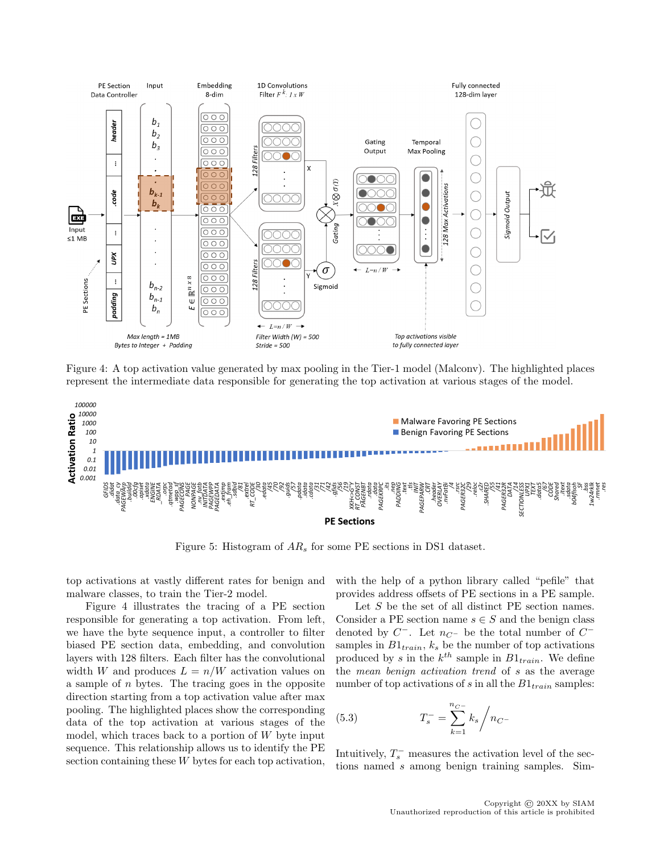

Figure 4: A top activation value generated by max pooling in the Tier-1 model (Malconv). The highlighted places represent the intermediate data responsible for generating the top activation at various stages of the model.



Figure 5: Histogram of  $AR_s$  for some PE sections in DS1 dataset.

top activations at vastly different rates for benign and malware classes, to train the Tier-2 model.

Figure 4 illustrates the tracing of a PE section responsible for generating a top activation. From left, we have the byte sequence input, a controller to filter biased PE section data, embedding, and convolution layers with 128 filters. Each filter has the convolutional width W and produces  $L = n/W$  activation values on a sample of n bytes. The tracing goes in the opposite direction starting from a top activation value after max pooling. The highlighted places show the corresponding data of the top activation at various stages of the model, which traces back to a portion of  $W$  byte input sequence. This relationship allows us to identify the PE section containing these W bytes for each top activation,

with the help of a python library called "pefile" that provides address offsets of PE sections in a PE sample.

Let S be the set of all distinct PE section names. Consider a PE section name  $s \in S$  and the benign class denoted by  $C^-$ . Let  $n_{C^-}$  be the total number of  $C^$ samples in  $B1_{train}$ ,  $k_s$  be the number of top activations produced by s in the  $k^{th}$  sample in  $B1_{train}$ . We define the mean benign activation trend of s as the average number of top activations of s in all the  $B1_{train}$  samples:

(5.3) 
$$
T_s^- = \sum_{k=1}^{n_{C^-}} k_s / n_{C^-}
$$

Intuitively,  $T_s^-$  measures the activation level of the sections named s among benign training samples. Sim-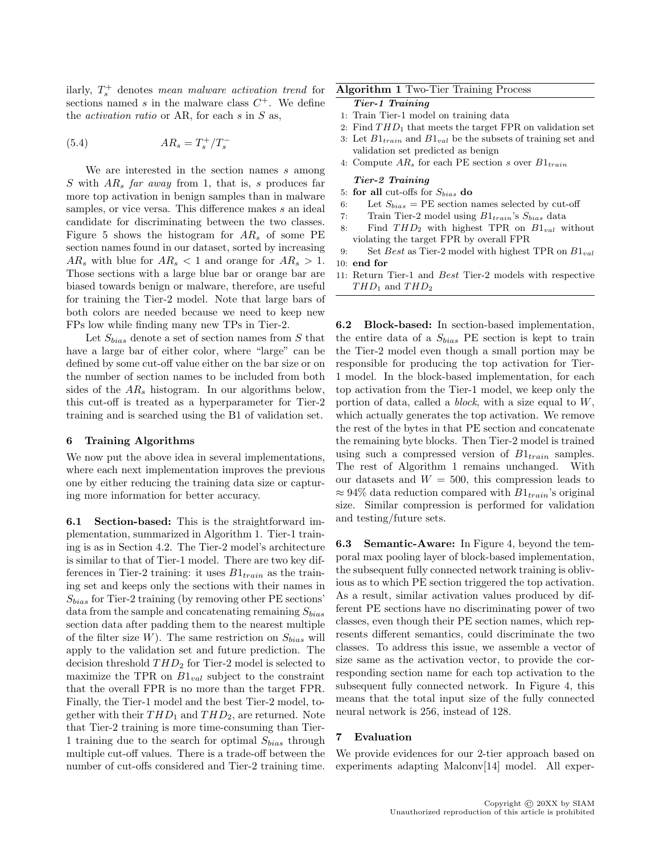ilarly,  $T_s^+$  denotes mean malware activation trend for sections named  $s$  in the malware class  $C^+$ . We define the *activation ratio* or AR, for each  $s$  in  $S$  as,

$$
(5.4) \qquad \qquad AR_s = T_s^+ / T_s^-
$$

We are interested in the section names  $s$  among  $S$  with  $AR_s$  far away from 1, that is, s produces far more top activation in benign samples than in malware samples, or vice versa. This difference makes s an ideal candidate for discriminating between the two classes. Figure 5 shows the histogram for  $AR<sub>s</sub>$  of some PE section names found in our dataset, sorted by increasing  $AR_s$  with blue for  $AR_s < 1$  and orange for  $AR_s > 1$ . Those sections with a large blue bar or orange bar are biased towards benign or malware, therefore, are useful for training the Tier-2 model. Note that large bars of both colors are needed because we need to keep new FPs low while finding many new TPs in Tier-2.

Let  $S_{bias}$  denote a set of section names from S that have a large bar of either color, where "large" can be defined by some cut-off value either on the bar size or on the number of section names to be included from both sides of the  $AR_s$  histogram. In our algorithms below, this cut-off is treated as a hyperparameter for Tier-2 training and is searched using the B1 of validation set.

#### 6 Training Algorithms

We now put the above idea in several implementations, where each next implementation improves the previous one by either reducing the training data size or capturing more information for better accuracy.

6.1 Section-based: This is the straightforward implementation, summarized in Algorithm 1. Tier-1 training is as in Section 4.2. The Tier-2 model's architecture is similar to that of Tier-1 model. There are two key differences in Tier-2 training: it uses  $B1_{train}$  as the training set and keeps only the sections with their names in  $S_{bias}$  for Tier-2 training (by removing other PE sections' data from the sample and concatenating remaining  $S_{bias}$ section data after padding them to the nearest multiple of the filter size  $W$ ). The same restriction on  $S_{bias}$  will apply to the validation set and future prediction. The decision threshold  $THD_2$  for Tier-2 model is selected to maximize the TPR on  $B1_{val}$  subject to the constraint that the overall FPR is no more than the target FPR. Finally, the Tier-1 model and the best Tier-2 model, together with their  $THD_1$  and  $THD_2$ , are returned. Note that Tier-2 training is more time-consuming than Tier-1 training due to the search for optimal  $S_{bias}$  through multiple cut-off values. There is a trade-off between the number of cut-offs considered and Tier-2 training time.

# Algorithm 1 Two-Tier Training Process

- Tier-1 Training
- 1: Train Tier-1 model on training data
- 2: Find  $THD_1$  that meets the target FPR on validation set
- 3: Let  $B1_{train}$  and  $B1_{val}$  be the subsets of training set and validation set predicted as benign
- 4: Compute  $AR_s$  for each PE section s over  $B1_{train}$

#### Tier-2 Training

- 5: for all cut-offs for  $S_{bias}$  do
- 6: Let  $S_{bias}$  = PE section names selected by cut-off
- 7: Train Tier-2 model using  $B1_{train}$ 's  $S_{bias}$  data
- 8: Find  $THD_2$  with highest TPR on  $B1_{val}$  without violating the target FPR by overall FPR
- 9: Set Best as Tier-2 model with highest TPR on  $B1_{val}$ 10: end for
- 11: Return Tier-1 and Best Tier-2 models with respective  $THD_1$  and  $THD_2$

6.2 Block-based: In section-based implementation, the entire data of a  $S_{bias}$  PE section is kept to train the Tier-2 model even though a small portion may be responsible for producing the top activation for Tier-1 model. In the block-based implementation, for each top activation from the Tier-1 model, we keep only the portion of data, called a *block*, with a size equal to  $W$ , which actually generates the top activation. We remove the rest of the bytes in that PE section and concatenate the remaining byte blocks. Then Tier-2 model is trained using such a compressed version of  $B1_{train}$  samples. The rest of Algorithm 1 remains unchanged. With our datasets and  $W = 500$ , this compression leads to  $\approx 94\%$  data reduction compared with  $B1_{train}$ 's original size. Similar compression is performed for validation and testing/future sets.

6.3 Semantic-Aware: In Figure 4, beyond the temporal max pooling layer of block-based implementation, the subsequent fully connected network training is oblivious as to which PE section triggered the top activation. As a result, similar activation values produced by different PE sections have no discriminating power of two classes, even though their PE section names, which represents different semantics, could discriminate the two classes. To address this issue, we assemble a vector of size same as the activation vector, to provide the corresponding section name for each top activation to the subsequent fully connected network. In Figure 4, this means that the total input size of the fully connected neural network is 256, instead of 128.

#### 7 Evaluation

We provide evidences for our 2-tier approach based on experiments adapting Malconv[14] model. All exper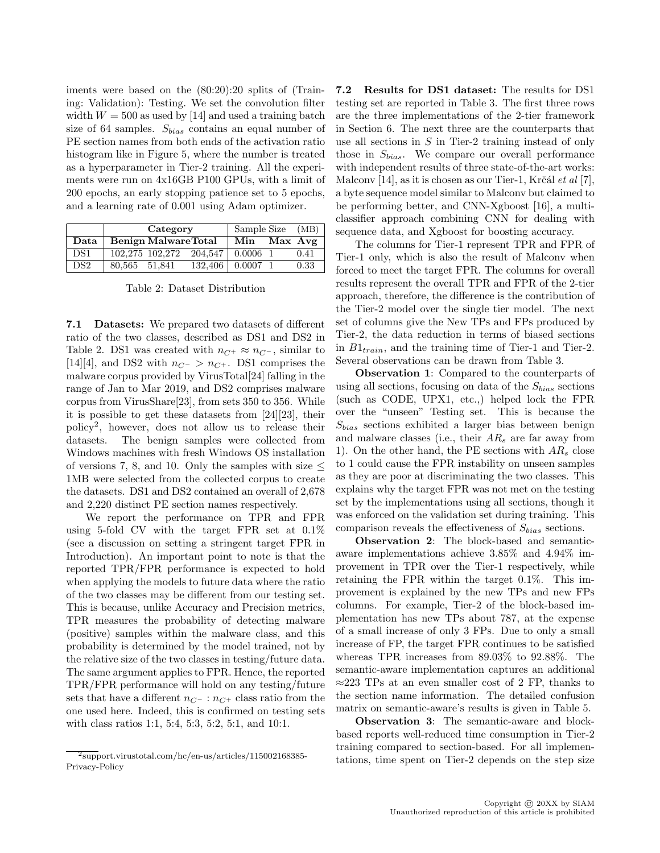iments were based on the (80:20):20 splits of (Training: Validation): Testing. We set the convolution filter width  $W = 500$  as used by [14] and used a training batch size of 64 samples.  $S_{bias}$  contains an equal number of PE section names from both ends of the activation ratio histogram like in Figure 5, where the number is treated as a hyperparameter in Tier-2 training. All the experiments were run on 4x16GB P100 GPUs, with a limit of 200 epochs, an early stopping patience set to 5 epochs, and a learning rate of 0.001 using Adam optimizer.

|                 |                                        | Category             | Sample Size | (MB) |      |
|-----------------|----------------------------------------|----------------------|-------------|------|------|
| Data            | <b>Benign MalwareTotal</b>             |                      | Min Max Avg |      |      |
| DS <sub>1</sub> | $102.275$ $102.272$ $204.547$ 0.0006 1 |                      |             |      | 0.41 |
| DS <sub>2</sub> | 80,565 51,841                          | $132,406$   0.0007 1 |             |      | 0.33 |

Table 2: Dataset Distribution

7.1 Datasets: We prepared two datasets of different ratio of the two classes, described as DS1 and DS2 in Table 2. DS1 was created with  $n_{C^+} \approx n_{C^-}$ , similar to [14][4], and DS2 with  $n_{C^-} > n_{C^+}$ . DS1 comprises the malware corpus provided by VirusTotal[24] falling in the range of Jan to Mar 2019, and DS2 comprises malware corpus from VirusShare[23], from sets 350 to 356. While it is possible to get these datasets from [24][23], their policy<sup>2</sup> , however, does not allow us to release their datasets. The benign samples were collected from Windows machines with fresh Windows OS installation of versions 7, 8, and 10. Only the samples with size  $\leq$ 1MB were selected from the collected corpus to create the datasets. DS1 and DS2 contained an overall of 2,678 and 2,220 distinct PE section names respectively.

We report the performance on TPR and FPR using 5-fold CV with the target FPR set at 0.1% (see a discussion on setting a stringent target FPR in Introduction). An important point to note is that the reported TPR/FPR performance is expected to hold when applying the models to future data where the ratio of the two classes may be different from our testing set. This is because, unlike Accuracy and Precision metrics, TPR measures the probability of detecting malware (positive) samples within the malware class, and this probability is determined by the model trained, not by the relative size of the two classes in testing/future data. The same argument applies to FPR. Hence, the reported TPR/FPR performance will hold on any testing/future sets that have a different  $n_{C^-}$ :  $n_{C^+}$  class ratio from the one used here. Indeed, this is confirmed on testing sets with class ratios 1:1, 5:4, 5:3, 5:2, 5:1, and 10:1.

7.2 Results for DS1 dataset: The results for DS1 testing set are reported in Table 3. The first three rows are the three implementations of the 2-tier framework in Section 6. The next three are the counterparts that use all sections in S in Tier-2 training instead of only those in  $S_{bias}$ . We compare our overall performance with independent results of three state-of-the-art works: Malconv [14], as it is chosen as our Tier-1, Krčál et al [7], a byte sequence model similar to Malconv but claimed to be performing better, and CNN-Xgboost [16], a multiclassifier approach combining CNN for dealing with sequence data, and Xgboost for boosting accuracy.

The columns for Tier-1 represent TPR and FPR of Tier-1 only, which is also the result of Malconv when forced to meet the target FPR. The columns for overall results represent the overall TPR and FPR of the 2-tier approach, therefore, the difference is the contribution of the Tier-2 model over the single tier model. The next set of columns give the New TPs and FPs produced by Tier-2, the data reduction in terms of biased sections in  $B1_{train}$ , and the training time of Tier-1 and Tier-2. Several observations can be drawn from Table 3.

Observation 1: Compared to the counterparts of using all sections, focusing on data of the  $S_{bias}$  sections (such as CODE, UPX1, etc.,) helped lock the FPR over the "unseen" Testing set. This is because the  $S_{bias}$  sections exhibited a larger bias between benign and malware classes (i.e., their  $AR_s$  are far away from 1). On the other hand, the PE sections with  $AR<sub>s</sub>$  close to 1 could cause the FPR instability on unseen samples as they are poor at discriminating the two classes. This explains why the target FPR was not met on the testing set by the implementations using all sections, though it was enforced on the validation set during training. This comparison reveals the effectiveness of  $S_{bias}$  sections.

Observation 2: The block-based and semanticaware implementations achieve 3.85% and 4.94% improvement in TPR over the Tier-1 respectively, while retaining the FPR within the target 0.1%. This improvement is explained by the new TPs and new FPs columns. For example, Tier-2 of the block-based implementation has new TPs about 787, at the expense of a small increase of only 3 FPs. Due to only a small increase of FP, the target FPR continues to be satisfied whereas TPR increases from 89.03% to 92.88%. The semantic-aware implementation captures an additional ≈223 TPs at an even smaller cost of 2 FP, thanks to the section name information. The detailed confusion matrix on semantic-aware's results is given in Table 5.

Observation 3: The semantic-aware and blockbased reports well-reduced time consumption in Tier-2 training compared to section-based. For all implementations, time spent on Tier-2 depends on the step size

 $\overline{\text{2}_{\text{support.virustotal.com/hc}}}/\text{en-us/articles}/115002168385$ Privacy-Policy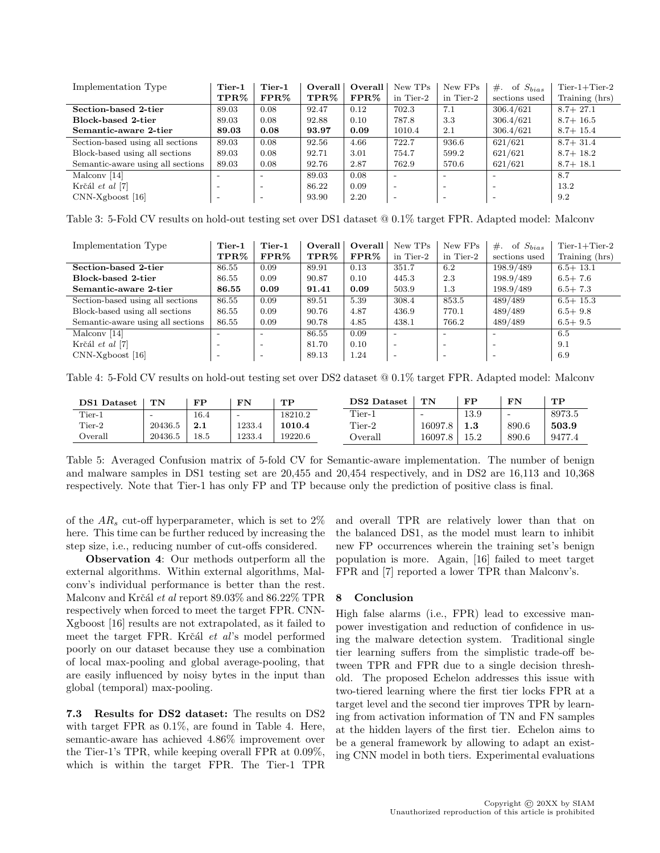| Implementation Type               | Tier-1                   | $Tier-1$                 | Overall | Overall | New TPs                  | New FPs                  | of $S_{bias}$<br>$#$ .   | $Tier-1+Tier-2$ |
|-----------------------------------|--------------------------|--------------------------|---------|---------|--------------------------|--------------------------|--------------------------|-----------------|
|                                   | TPR%                     | $\textbf{FPR}\%$         | TPR%    | FPR%    | in Tier-2                | in Tier-2                | sections used            | Training (hrs)  |
| Section-based 2-tier              | 89.03                    | 0.08                     | 92.47   | 0.12    | 702.3                    | 7.1                      | 306.4/621                | $8.7 + 27.1$    |
| Block-based 2-tier                | 89.03                    | 0.08                     | 92.88   | 0.10    | 787.8                    | 3.3                      | 306.4/621                | $8.7 + 16.5$    |
| Semantic-aware 2-tier             | 89.03                    | 0.08                     | 93.97   | 0.09    | 1010.4                   | 2.1                      | 306.4/621                | $8.7 + 15.4$    |
| Section-based using all sections  | 89.03                    | 0.08                     | 92.56   | 4.66    | 722.7                    | 936.6                    | 621/621                  | $8.7 + 31.4$    |
| Block-based using all sections    | 89.03                    | 0.08                     | 92.71   | 3.01    | 754.7                    | 599.2                    | 621/621                  | $8.7 + 18.2$    |
| Semantic-aware using all sections | 89.03                    | 0.08                     | 92.76   | 2.87    | 762.9                    | 570.6                    | 621/621                  | $8.7 + 18.1$    |
| Malcony [14]                      | $\overline{\phantom{a}}$ | $\overline{\phantom{0}}$ | 89.03   | 0.08    | $\overline{\phantom{a}}$ | $\overline{\phantom{0}}$ | $\overline{\phantom{0}}$ | 8.7             |
| Krčál et al [7]                   | $\overline{\phantom{a}}$ | $\overline{\phantom{a}}$ | 86.22   | 0.09    | $\overline{\phantom{a}}$ | $\overline{\phantom{0}}$ |                          | 13.2            |
| $CNN-Xgboost [16]$                | $\overline{\phantom{0}}$ | $\overline{\phantom{a}}$ | 93.90   | 2.20    | $\overline{\phantom{0}}$ | $\overline{\phantom{0}}$ |                          | 9.2             |

Table 3: 5-Fold CV results on hold-out testing set over DS1 dataset @ 0.1% target FPR. Adapted model: Malconv

| Implementation Type               | Tier-1                   | Tier-1                   | Overall | Overall | New TPs                  | New FPs                  | $#$ .<br>of $S_{bias}$   | $Tier-1+Tier-2$ |
|-----------------------------------|--------------------------|--------------------------|---------|---------|--------------------------|--------------------------|--------------------------|-----------------|
|                                   | TPR%                     | FPR%                     | $TPR\%$ | $FPR\%$ | in Tier-2                | in Tier-2                | sections used            | Training (hrs)  |
| Section-based 2-tier              | 86.55                    | 0.09                     | 89.91   | 0.13    | 351.7                    | 6.2                      | 198.9/489                | $6.5 + 13.1$    |
| Block-based 2-tier                | 86.55                    | 0.09                     | 90.87   | 0.10    | 445.3                    | 2.3                      | 198.9/489                | $6.5 + 7.6$     |
| Semantic-aware 2-tier             | 86.55                    | 0.09                     | 91.41   | 0.09    | 503.9                    | 1.3                      | 198.9/489                | $6.5 + 7.3$     |
| Section-based using all sections  | 86.55                    | 0.09                     | 89.51   | 5.39    | 308.4                    | 853.5                    | 489/489                  | $6.5 + 15.3$    |
| Block-based using all sections    | 86.55                    | 0.09                     | 90.76   | 4.87    | 436.9                    | 770.1                    | 489/489                  | $6.5 + 9.8$     |
| Semantic-aware using all sections | 86.55                    | 0.09                     | 90.78   | 4.85    | 438.1                    | 766.2                    | 489/489                  | $6.5 + 9.5$     |
| Malcony [14]                      |                          | $\overline{\phantom{0}}$ | 86.55   | 0.09    | $\overline{\phantom{a}}$ |                          | $\overline{\phantom{a}}$ | 6.5             |
| Krčál et al [7]                   | $\overline{\phantom{0}}$ | $\overline{\phantom{a}}$ | 81.70   | 0.10    | $\overline{\phantom{a}}$ | -                        | $\overline{\phantom{0}}$ | 9.1             |
| $CNN-Xgboost [16]$                | $\overline{\phantom{a}}$ | $\overline{\phantom{a}}$ | 89.13   | 1.24    | $\overline{\phantom{a}}$ | $\overline{\phantom{0}}$ | $\overline{\phantom{a}}$ | 6.9             |

Table 4: 5-Fold CV results on hold-out testing set over DS2 dataset @ 0.1% target FPR. Adapted model: Malconv

| <b>DS1</b> Dataset | TN                       | FP   | FN                       | $_{\rm \bf TP}$ | <b>DS2</b> Dataset | TN                       | $\bf FP$ | FN    | TP     |
|--------------------|--------------------------|------|--------------------------|-----------------|--------------------|--------------------------|----------|-------|--------|
| $Tier-1$           | $\overline{\phantom{a}}$ | 16.4 | $\overline{\phantom{0}}$ | 18210.2         | $Tier-1$           | $\overline{\phantom{0}}$ | 13.9     | -     | 8973.5 |
| $Tier-2$           | 20436.5                  | 2.1  | 1233.4                   | 1010.4          | Tier-2             | 16097.8                  | $1.3\,$  | 890.6 | 503.9  |
| $\alpha$           | 20436.5                  | 18.5 | 1233.4                   | 19220.6         | Overall            | 16097.8                  | $15.2\,$ | 890.6 | 9477.4 |

Table 5: Averaged Confusion matrix of 5-fold CV for Semantic-aware implementation. The number of benign and malware samples in DS1 testing set are 20,455 and 20,454 respectively, and in DS2 are 16,113 and 10,368 respectively. Note that Tier-1 has only FP and TP because only the prediction of positive class is final.

of the  $AR_s$  cut-off hyperparameter, which is set to  $2\%$ here. This time can be further reduced by increasing the step size, i.e., reducing number of cut-offs considered.

Observation 4: Our methods outperform all the external algorithms. Within external algorithms, Malconv's individual performance is better than the rest. Malconv and Krčál et al report  $89.03\%$  and  $86.22\%$  TPR respectively when forced to meet the target FPR. CNN-Xgboost [16] results are not extrapolated, as it failed to meet the target FPR. Krčál et al's model performed poorly on our dataset because they use a combination of local max-pooling and global average-pooling, that are easily influenced by noisy bytes in the input than global (temporal) max-pooling.

7.3 Results for DS2 dataset: The results on DS2 with target FPR as 0.1%, are found in Table 4. Here, semantic-aware has achieved 4.86% improvement over the Tier-1's TPR, while keeping overall FPR at 0.09%, which is within the target FPR. The Tier-1 TPR

and overall TPR are relatively lower than that on the balanced DS1, as the model must learn to inhibit new FP occurrences wherein the training set's benign population is more. Again, [16] failed to meet target FPR and [7] reported a lower TPR than Malconv's.

# 8 Conclusion

High false alarms (i.e., FPR) lead to excessive manpower investigation and reduction of confidence in using the malware detection system. Traditional single tier learning suffers from the simplistic trade-off between TPR and FPR due to a single decision threshold. The proposed Echelon addresses this issue with two-tiered learning where the first tier locks FPR at a target level and the second tier improves TPR by learning from activation information of TN and FN samples at the hidden layers of the first tier. Echelon aims to be a general framework by allowing to adapt an existing CNN model in both tiers. Experimental evaluations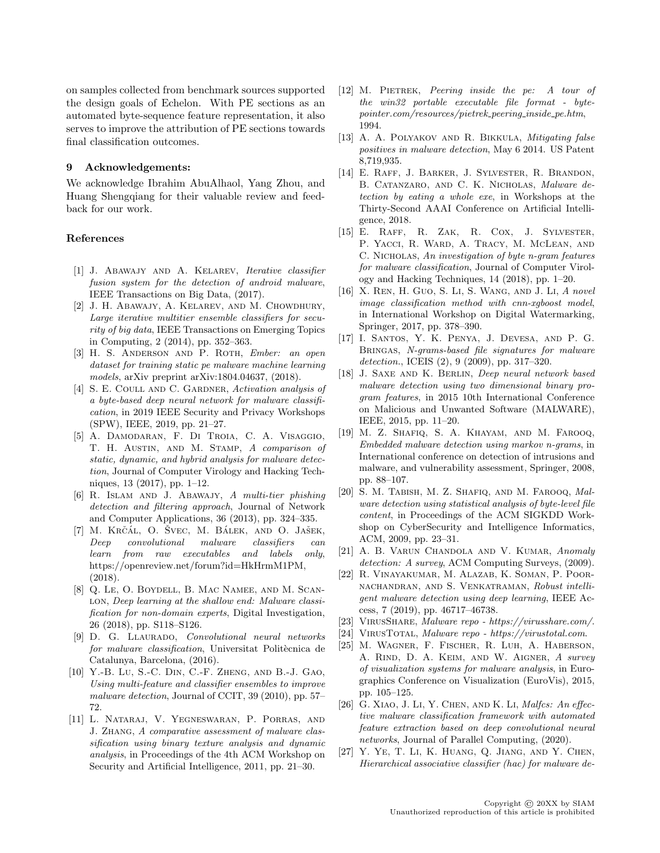on samples collected from benchmark sources supported the design goals of Echelon. With PE sections as an automated byte-sequence feature representation, it also serves to improve the attribution of PE sections towards final classification outcomes.

#### 9 Acknowledgements:

We acknowledge Ibrahim AbuAlhaol, Yang Zhou, and Huang Shengqiang for their valuable review and feedback for our work.

# References

- [1] J. Abawajy and A. Kelarev, Iterative classifier fusion system for the detection of android malware, IEEE Transactions on Big Data, (2017).
- [2] J. H. Abawajy, A. Kelarev, and M. Chowdhury, Large iterative multitier ensemble classifiers for security of big data, IEEE Transactions on Emerging Topics in Computing, 2 (2014), pp. 352–363.
- [3] H. S. ANDERSON AND P. ROTH, Ember: an open dataset for training static pe malware machine learning models, arXiv preprint arXiv:1804.04637, (2018).
- [4] S. E. COULL AND C. GARDNER, Activation analysis of a byte-based deep neural network for malware classification, in 2019 IEEE Security and Privacy Workshops (SPW), IEEE, 2019, pp. 21–27.
- [5] A. Damodaran, F. Di Troia, C. A. Visaggio, T. H. AUSTIN, AND M. STAMP, A comparison of static, dynamic, and hybrid analysis for malware detection, Journal of Computer Virology and Hacking Techniques, 13 (2017), pp. 1–12.
- [6] R. Islam and J. Abawajy, A multi-tier phishing detection and filtering approach, Journal of Network and Computer Applications, 36 (2013), pp. 324–335.
- [7] M. KRČÁL, O. SVEC, M. BÁLEK, AND O. JAŠEK, Deep convolutional malware classifiers can learn from raw executables and labels only, https://openreview.net/forum?id=HkHrmM1PM, (2018).
- [8] Q. Le, O. Boydell, B. Mac Namee, and M. Scan-LON, Deep learning at the shallow end: Malware classification for non-domain experts, Digital Investigation, 26 (2018), pp. S118–S126.
- [9] D. G. LLAURADO, *Convolutional neural networks* for malware classification. Universitat Politècnica de Catalunya, Barcelona, (2016).
- [10] Y.-B. Lu, S.-C. Din, C.-F. Zheng, and B.-J. Gao, Using multi-feature and classifier ensembles to improve malware detection, Journal of CCIT, 39 (2010), pp. 57– 72.
- [11] L. Nataraj, V. Yegneswaran, P. Porras, and J. Zhang, A comparative assessment of malware classification using binary texture analysis and dynamic analysis, in Proceedings of the 4th ACM Workshop on Security and Artificial Intelligence, 2011, pp. 21–30.
- [12] M. PIETREK, Peering inside the pe: A tour of the win32 portable executable file format - bytepointer.com/resources/pietrek peering inside pe.htm, 1994.
- [13] A. A. POLYAKOV AND R. BIKKULA, Mitigating false positives in malware detection, May 6 2014. US Patent 8,719,935.
- [14] E. Raff, J. Barker, J. Sylvester, R. Brandon, B. Catanzaro, and C. K. Nicholas, Malware detection by eating a whole exe, in Workshops at the Thirty-Second AAAI Conference on Artificial Intelligence, 2018.
- [15] E. Raff, R. Zak, R. Cox, J. Sylvester, P. Yacci, R. Ward, A. Tracy, M. McLean, and C. NICHOLAS, An investigation of byte n-gram features for malware classification, Journal of Computer Virology and Hacking Techniques, 14 (2018), pp. 1–20.
- [16] X. Ren, H. Guo, S. Li, S. Wang, and J. Li, A novel image classification method with cnn-xgboost model, in International Workshop on Digital Watermarking, Springer, 2017, pp. 378–390.
- [17] I. Santos, Y. K. Penya, J. Devesa, and P. G. Bringas, N-grams-based file signatures for malware detection., ICEIS (2), 9 (2009), pp. 317–320.
- [18] J. SAXE AND K. BERLIN, Deep neural network based malware detection using two dimensional binary program features, in 2015 10th International Conference on Malicious and Unwanted Software (MALWARE), IEEE, 2015, pp. 11–20.
- [19] M. Z. Shafiq, S. A. Khayam, and M. Farooq, Embedded malware detection using markov n-grams, in International conference on detection of intrusions and malware, and vulnerability assessment, Springer, 2008, pp. 88–107.
- [20] S. M. Tabish, M. Z. Shafiq, and M. Farooq, Malware detection using statistical analysis of byte-level file content, in Proceedings of the ACM SIGKDD Workshop on CyberSecurity and Intelligence Informatics, ACM, 2009, pp. 23–31.
- [21] A. B. VARUN CHANDOLA AND V. KUMAR, Anomaly detection: A survey, ACM Computing Surveys,  $(2009)$ .
- [22] R. Vinayakumar, M. Alazab, K. Soman, P. Poornachandran, and S. Venkatraman, Robust intelligent malware detection using deep learning, IEEE Access, 7 (2019), pp. 46717–46738.
- [23] VirusShare, Malware repo https://virusshare.com/.
- [24] VirusTotal, Malware repo https://virustotal.com.
- [25] M. Wagner, F. Fischer, R. Luh, A. Haberson, A. RIND, D. A. KEIM, AND W. AIGNER, A survey of visualization systems for malware analysis, in Eurographics Conference on Visualization (EuroVis), 2015, pp. 105–125.
- [26] G. XIAO, J. LI, Y. CHEN, AND K. LI, *Malfcs: An effec*tive malware classification framework with automated feature extraction based on deep convolutional neural networks, Journal of Parallel Computing, (2020).
- [27] Y. Ye, T. Li, K. Huang, Q. Jiang, and Y. Chen, Hierarchical associative classifier (hac) for malware de-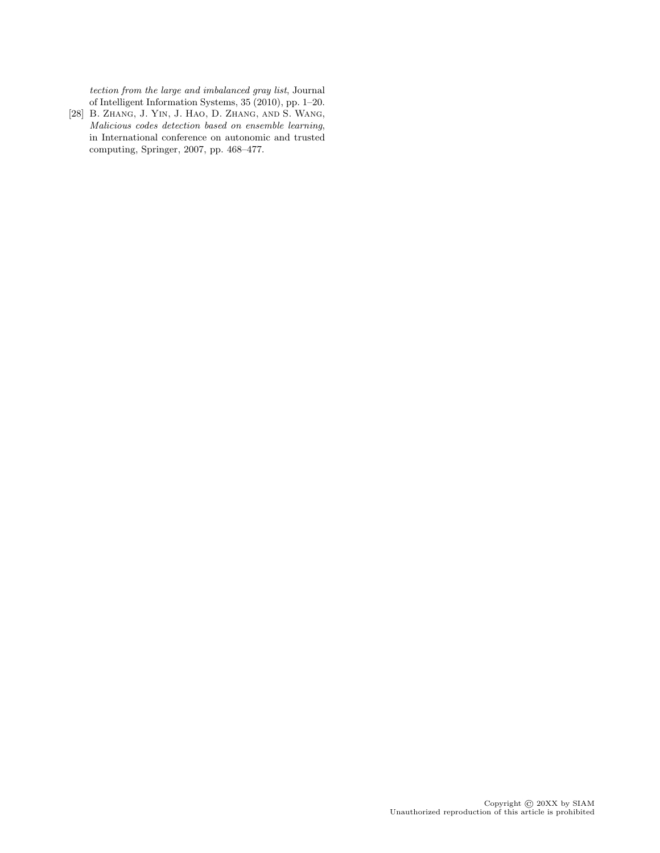tection from the large and imbalanced gray list, Journal of Intelligent Information Systems, 35 (2010), pp. 1–20.

[28] B. Zhang, J. Yin, J. Hao, D. Zhang, and S. Wang, Malicious codes detection based on ensemble learning, in International conference on autonomic and trusted computing, Springer, 2007, pp. 468–477.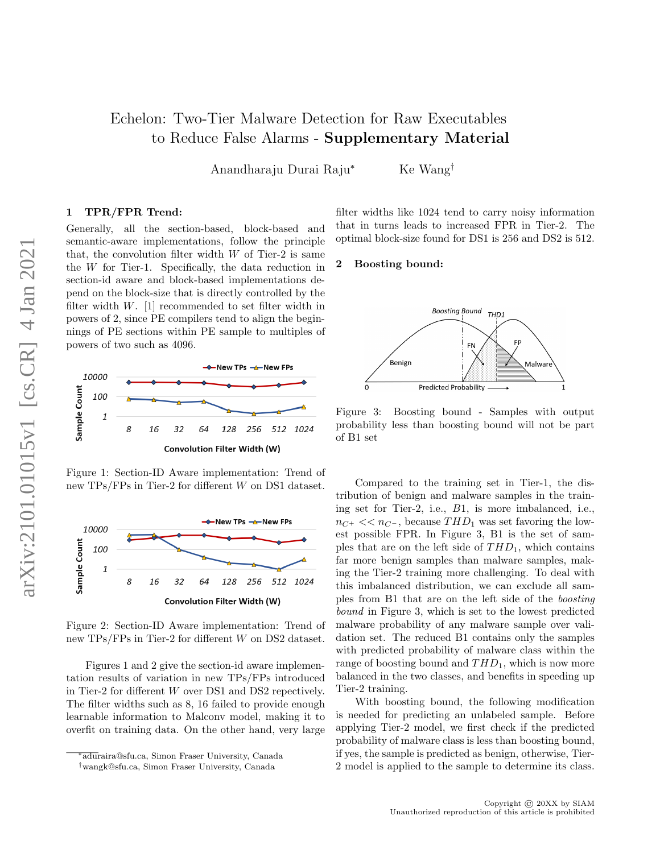# Echelon: Two-Tier Malware Detection for Raw Executables to Reduce False Alarms - Supplementary Material

Anandharaju Durai Raju<sup>∗</sup> Ke Wang†

# 1 TPR/FPR Trend:

Generally, all the section-based, block-based and semantic-aware implementations, follow the principle that, the convolution filter width  $W$  of Tier-2 is same the W for Tier-1. Specifically, the data reduction in section-id aware and block-based implementations depend on the block-size that is directly controlled by the filter width  $W$ . [1] recommended to set filter width in powers of 2, since PE compilers tend to align the beginnings of PE sections within PE sample to multiples of powers of two such as 4096.



Figure 1: Section-ID Aware implementation: Trend of new TPs/FPs in Tier-2 for different W on DS1 dataset.



Figure 2: Section-ID Aware implementation: Trend of new TPs/FPs in Tier-2 for different W on DS2 dataset.

Figures 1 and 2 give the section-id aware implementation results of variation in new TPs/FPs introduced in Tier-2 for different W over DS1 and DS2 repectively. The filter widths such as 8, 16 failed to provide enough learnable information to Malconv model, making it to overfit on training data. On the other hand, very large filter widths like 1024 tend to carry noisy information that in turns leads to increased FPR in Tier-2. The optimal block-size found for DS1 is 256 and DS2 is 512.

#### 2 Boosting bound:



Figure 3: Boosting bound - Samples with output probability less than boosting bound will not be part of B1 set

Compared to the training set in Tier-1, the distribution of benign and malware samples in the training set for Tier-2, i.e., B1, is more imbalanced, i.e.,  $n_{C^+} << n_{C^-}$ , because  $THD_1$  was set favoring the lowest possible FPR. In Figure 3, B1 is the set of samples that are on the left side of  $THD_1$ , which contains far more benign samples than malware samples, making the Tier-2 training more challenging. To deal with this imbalanced distribution, we can exclude all samples from B1 that are on the left side of the boosting bound in Figure 3, which is set to the lowest predicted malware probability of any malware sample over validation set. The reduced B1 contains only the samples with predicted probability of malware class within the range of boosting bound and  $THD_1$ , which is now more balanced in the two classes, and benefits in speeding up Tier-2 training.

With boosting bound, the following modification is needed for predicting an unlabeled sample. Before applying Tier-2 model, we first check if the predicted probability of malware class is less than boosting bound, if yes, the sample is predicted as benign, otherwise, Tier-2 model is applied to the sample to determine its class.

<sup>∗</sup>aduraira@sfu.ca, Simon Fraser University, Canada

<sup>†</sup>wangk@sfu.ca, Simon Fraser University, Canada